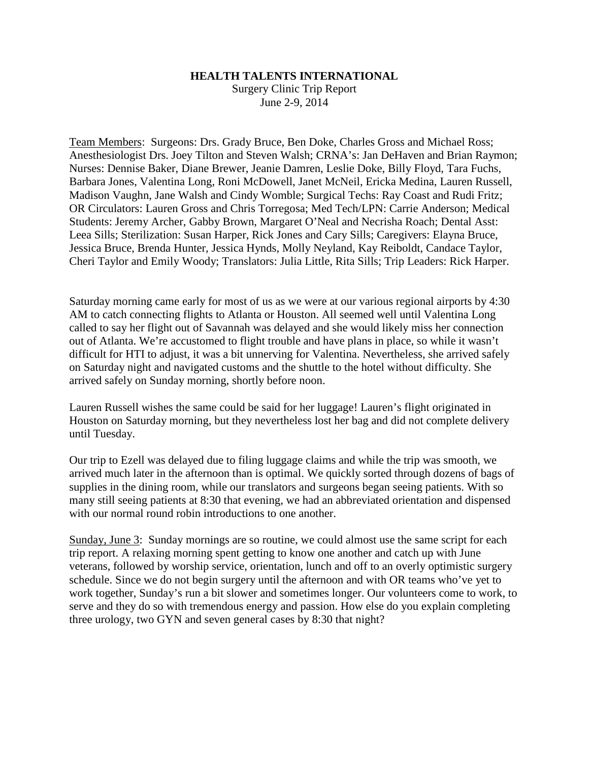## **HEALTH TALENTS INTERNATIONAL**

Surgery Clinic Trip Report June 2-9, 2014

Team Members: Surgeons: Drs. Grady Bruce, Ben Doke, Charles Gross and Michael Ross; Anesthesiologist Drs. Joey Tilton and Steven Walsh; CRNA's: Jan DeHaven and Brian Raymon; Nurses: Dennise Baker, Diane Brewer, Jeanie Damren, Leslie Doke, Billy Floyd, Tara Fuchs, Barbara Jones, Valentina Long, Roni McDowell, Janet McNeil, Ericka Medina, Lauren Russell, Madison Vaughn, Jane Walsh and Cindy Womble; Surgical Techs: Ray Coast and Rudi Fritz; OR Circulators: Lauren Gross and Chris Torregosa; Med Tech/LPN: Carrie Anderson; Medical Students: Jeremy Archer, Gabby Brown, Margaret O'Neal and Necrisha Roach; Dental Asst: Leea Sills; Sterilization: Susan Harper, Rick Jones and Cary Sills; Caregivers: Elayna Bruce, Jessica Bruce, Brenda Hunter, Jessica Hynds, Molly Neyland, Kay Reiboldt, Candace Taylor, Cheri Taylor and Emily Woody; Translators: Julia Little, Rita Sills; Trip Leaders: Rick Harper.

Saturday morning came early for most of us as we were at our various regional airports by 4:30 AM to catch connecting flights to Atlanta or Houston. All seemed well until Valentina Long called to say her flight out of Savannah was delayed and she would likely miss her connection out of Atlanta. We're accustomed to flight trouble and have plans in place, so while it wasn't difficult for HTI to adjust, it was a bit unnerving for Valentina. Nevertheless, she arrived safely on Saturday night and navigated customs and the shuttle to the hotel without difficulty. She arrived safely on Sunday morning, shortly before noon.

Lauren Russell wishes the same could be said for her luggage! Lauren's flight originated in Houston on Saturday morning, but they nevertheless lost her bag and did not complete delivery until Tuesday.

Our trip to Ezell was delayed due to filing luggage claims and while the trip was smooth, we arrived much later in the afternoon than is optimal. We quickly sorted through dozens of bags of supplies in the dining room, while our translators and surgeons began seeing patients. With so many still seeing patients at 8:30 that evening, we had an abbreviated orientation and dispensed with our normal round robin introductions to one another.

Sunday, June 3: Sunday mornings are so routine, we could almost use the same script for each trip report. A relaxing morning spent getting to know one another and catch up with June veterans, followed by worship service, orientation, lunch and off to an overly optimistic surgery schedule. Since we do not begin surgery until the afternoon and with OR teams who've yet to work together, Sunday's run a bit slower and sometimes longer. Our volunteers come to work, to serve and they do so with tremendous energy and passion. How else do you explain completing three urology, two GYN and seven general cases by 8:30 that night?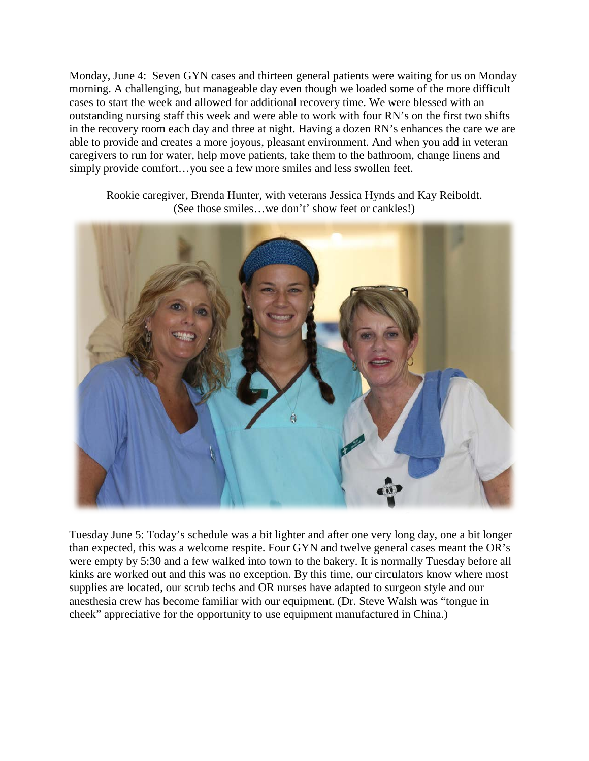Monday, June 4: Seven GYN cases and thirteen general patients were waiting for us on Monday morning. A challenging, but manageable day even though we loaded some of the more difficult cases to start the week and allowed for additional recovery time. We were blessed with an outstanding nursing staff this week and were able to work with four RN's on the first two shifts in the recovery room each day and three at night. Having a dozen RN's enhances the care we are able to provide and creates a more joyous, pleasant environment. And when you add in veteran caregivers to run for water, help move patients, take them to the bathroom, change linens and simply provide comfort…you see a few more smiles and less swollen feet.



Rookie caregiver, Brenda Hunter, with veterans Jessica Hynds and Kay Reiboldt. (See those smiles…we don't' show feet or cankles!)

Tuesday June 5: Today's schedule was a bit lighter and after one very long day, one a bit longer than expected, this was a welcome respite. Four GYN and twelve general cases meant the OR's were empty by 5:30 and a few walked into town to the bakery. It is normally Tuesday before all kinks are worked out and this was no exception. By this time, our circulators know where most supplies are located, our scrub techs and OR nurses have adapted to surgeon style and our anesthesia crew has become familiar with our equipment. (Dr. Steve Walsh was "tongue in cheek" appreciative for the opportunity to use equipment manufactured in China.)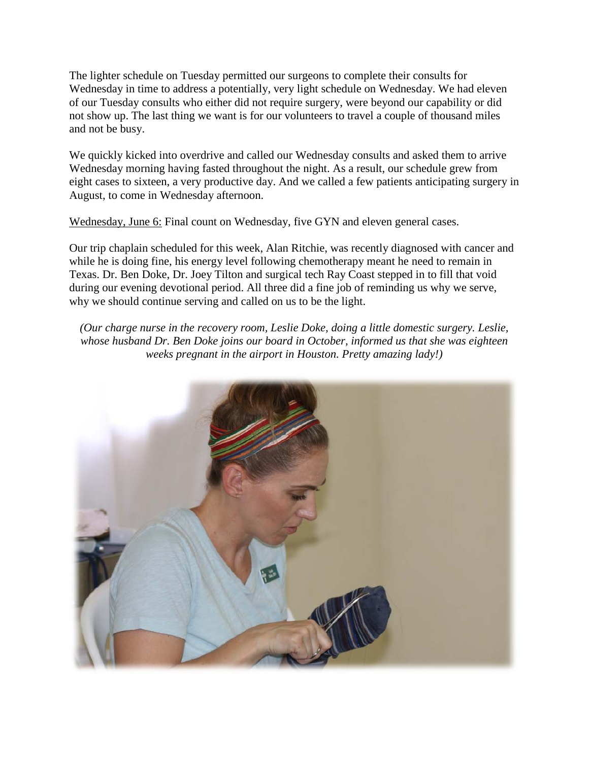The lighter schedule on Tuesday permitted our surgeons to complete their consults for Wednesday in time to address a potentially, very light schedule on Wednesday. We had eleven of our Tuesday consults who either did not require surgery, were beyond our capability or did not show up. The last thing we want is for our volunteers to travel a couple of thousand miles and not be busy.

We quickly kicked into overdrive and called our Wednesday consults and asked them to arrive Wednesday morning having fasted throughout the night. As a result, our schedule grew from eight cases to sixteen, a very productive day. And we called a few patients anticipating surgery in August, to come in Wednesday afternoon.

Wednesday, June 6: Final count on Wednesday, five GYN and eleven general cases.

Our trip chaplain scheduled for this week, Alan Ritchie, was recently diagnosed with cancer and while he is doing fine, his energy level following chemotherapy meant he need to remain in Texas. Dr. Ben Doke, Dr. Joey Tilton and surgical tech Ray Coast stepped in to fill that void during our evening devotional period. All three did a fine job of reminding us why we serve, why we should continue serving and called on us to be the light.

*(Our charge nurse in the recovery room, Leslie Doke, doing a little domestic surgery. Leslie, whose husband Dr. Ben Doke joins our board in October, informed us that she was eighteen weeks pregnant in the airport in Houston. Pretty amazing lady!)*

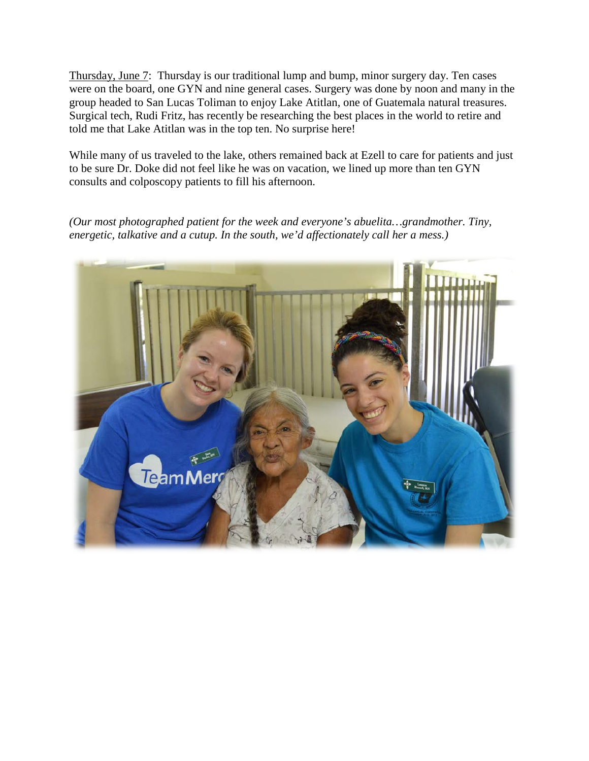Thursday, June 7: Thursday is our traditional lump and bump, minor surgery day. Ten cases were on the board, one GYN and nine general cases. Surgery was done by noon and many in the group headed to San Lucas Toliman to enjoy Lake Atitlan, one of Guatemala natural treasures. Surgical tech, Rudi Fritz, has recently be researching the best places in the world to retire and told me that Lake Atitlan was in the top ten. No surprise here!

While many of us traveled to the lake, others remained back at Ezell to care for patients and just to be sure Dr. Doke did not feel like he was on vacation, we lined up more than ten GYN consults and colposcopy patients to fill his afternoon.

*(Our most photographed patient for the week and everyone's abuelita…grandmother. Tiny, energetic, talkative and a cutup. In the south, we'd affectionately call her a mess.)*